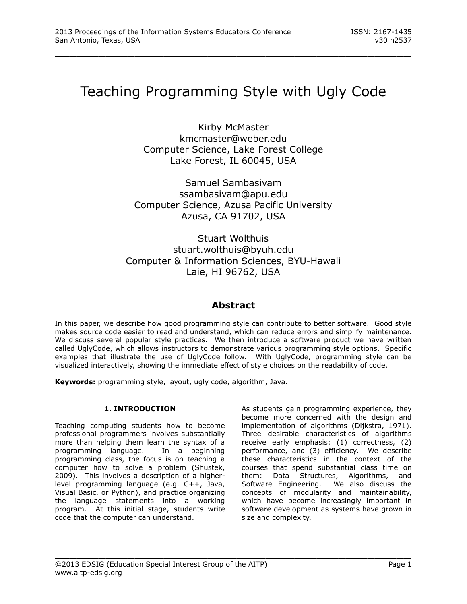# Teaching Programming Style with Ugly Code

\_\_\_\_\_\_\_\_\_\_\_\_\_\_\_\_\_\_\_\_\_\_\_\_\_\_\_\_\_\_\_\_\_\_\_\_\_\_\_\_\_\_\_\_\_\_\_\_\_

Kirby McMaster kmcmaster@weber.edu Computer Science, Lake Forest College Lake Forest, IL 60045, USA

Samuel Sambasivam ssambasivam@apu.edu Computer Science, Azusa Pacific University Azusa, CA 91702, USA

Stuart Wolthuis stuart.wolthuis@byuh.edu Computer & Information Sciences, BYU-Hawaii Laie, HI 96762, USA

## **Abstract**

In this paper, we describe how good programming style can contribute to better software. Good style makes source code easier to read and understand, which can reduce errors and simplify maintenance. We discuss several popular style practices. We then introduce a software product we have written called UglyCode, which allows instructors to demonstrate various programming style options. Specific examples that illustrate the use of UglyCode follow. With UglyCode, programming style can be visualized interactively, showing the immediate effect of style choices on the readability of code.

\_\_\_\_\_\_\_\_\_\_\_\_\_\_\_\_\_\_\_\_\_\_\_\_\_\_\_\_\_\_\_\_\_\_\_\_\_\_\_\_\_\_\_\_\_\_\_\_\_

**Keywords:** programming style, layout, ugly code, algorithm, Java.

## **1. INTRODUCTION**

Teaching computing students how to become professional programmers involves substantially more than helping them learn the syntax of a programming language. In a beginning programming class, the focus is on teaching a computer how to solve a problem (Shustek, 2009). This involves a description of a higherlevel programming language (e.g. C++, Java, Visual Basic, or Python), and practice organizing the language statements into a working program. At this initial stage, students write code that the computer can understand.

As students gain programming experience, they become more concerned with the design and implementation of algorithms (Dijkstra, 1971). Three desirable characteristics of algorithms receive early emphasis: (1) correctness, (2) performance, and (3) efficiency. We describe these characteristics in the context of the courses that spend substantial class time on them: Data Structures, Algorithms, and Software Engineering. We also discuss the concepts of modularity and maintainability, which have become increasingly important in software development as systems have grown in size and complexity.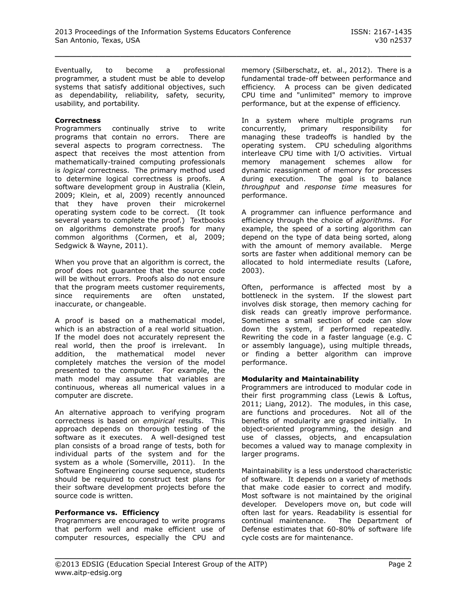Eventually, to become a professional programmer, a student must be able to develop systems that satisfy additional objectives, such as dependability, reliability, safety, security, usability, and portability.

#### **Correctness**

Programmers continually strive to write programs that contain no errors. There are several aspects to program correctness. The aspect that receives the most attention from mathematically-trained computing professionals is *logical* correctness. The primary method used to determine logical correctness is proofs. A software development group in Australia (Klein, 2009; Klein, et al, 2009) recently announced that they have proven their microkernel operating system code to be correct. (It took several years to complete the proof.) Textbooks on algorithms demonstrate proofs for many common algorithms (Cormen, et al, 2009; Sedgwick & Wayne, 2011).

When you prove that an algorithm is correct, the proof does not guarantee that the source code will be without errors. Proofs also do not ensure that the program meets customer requirements, since requirements are often unstated, inaccurate, or changeable.

A proof is based on a mathematical model, which is an abstraction of a real world situation. If the model does not accurately represent the real world, then the proof is irrelevant. In addition, the mathematical model never completely matches the version of the model presented to the computer. For example, the math model may assume that variables are continuous, whereas all numerical values in a computer are discrete.

An alternative approach to verifying program correctness is based on *empirical* results. This approach depends on thorough testing of the software as it executes. A well-designed test plan consists of a broad range of tests, both for individual parts of the system and for the system as a whole (Somerville, 2011). In the Software Engineering course sequence, students should be required to construct test plans for their software development projects before the source code is written.

## **Performance vs. Efficiency**

Programmers are encouraged to write programs that perform well and make efficient use of computer resources, especially the CPU and

memory (Silberschatz, et. al., 2012). There is a fundamental trade-off between performance and efficiency. A process can be given dedicated CPU time and "unlimited" memory to improve performance, but at the expense of efficiency.

In a system where multiple programs run concurrently, primary responsibility for managing these tradeoffs is handled by the operating system. CPU scheduling algorithms interleave CPU time with I/O activities. Virtual memory management schemes allow for dynamic reassignment of memory for processes during execution. The goal is to balance *throughput* and *response time* measures for performance.

A programmer can influence performance and efficiency through the choice of *algorithms*. For example, the speed of a sorting algorithm can depend on the type of data being sorted, along with the amount of memory available. Merge sorts are faster when additional memory can be allocated to hold intermediate results (Lafore, 2003).

Often, performance is affected most by a bottleneck in the system. If the slowest part involves disk storage, then memory caching for disk reads can greatly improve performance. Sometimes a small section of code can slow down the system, if performed repeatedly. Rewriting the code in a faster language (e.g. C or assembly language), using multiple threads, or finding a better algorithm can improve performance.

## **Modularity and Maintainability**

Programmers are introduced to modular code in their first programming class (Lewis & Loftus, 2011; Liang, 2012). The modules, in this case, are functions and procedures. Not all of the benefits of modularity are grasped initially. In object-oriented programming, the design and use of classes, objects, and encapsulation becomes a valued way to manage complexity in larger programs.

Maintainability is a less understood characteristic of software. It depends on a variety of methods that make code easier to correct and modify. Most software is not maintained by the original developer. Developers move on, but code will often last for years. Readability is essential for continual maintenance. The Department of Defense estimates that 60-80% of software life cycle costs are for maintenance.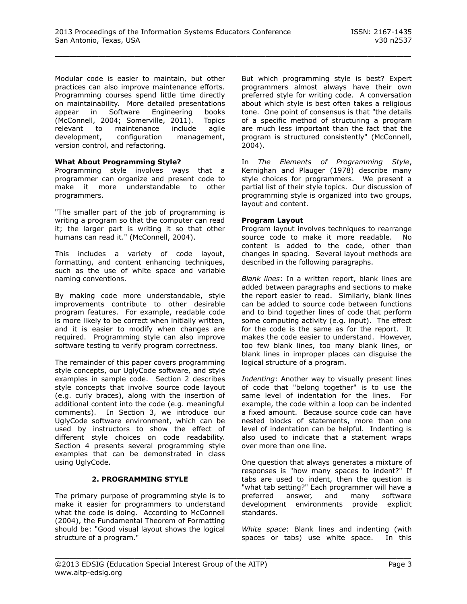Modular code is easier to maintain, but other practices can also improve maintenance efforts. Programming courses spend little time directly on maintainability. More detailed presentations appear in Software Engineering books (McConnell, 2004; Somerville, 2011). Topics relevant to maintenance include agile development, configuration management, version control, and refactoring.

## **What About Programming Style?**

Programming style involves ways that a programmer can organize and present code to make it more understandable to other programmers.

"The smaller part of the job of programming is writing a program so that the computer can read it; the larger part is writing it so that other humans can read it." (McConnell, 2004).

This includes a variety of code layout, formatting, and content enhancing techniques, such as the use of white space and variable naming conventions.

By making code more understandable, style improvements contribute to other desirable program features. For example, readable code is more likely to be correct when initially written, and it is easier to modify when changes are required. Programming style can also improve software testing to verify program correctness.

The remainder of this paper covers programming style concepts, our UglyCode software, and style examples in sample code. Section 2 describes style concepts that involve source code layout (e.g. curly braces), along with the insertion of additional content into the code (e.g. meaningful comments). In Section 3, we introduce our UglyCode software environment, which can be used by instructors to show the effect of different style choices on code readability. Section 4 presents several programming style examples that can be demonstrated in class using UglyCode.

## **2. PROGRAMMING STYLE**

The primary purpose of programming style is to make it easier for programmers to understand what the code is doing. According to McConnell (2004), the Fundamental Theorem of Formatting should be: "Good visual layout shows the logical structure of a program."

But which programming style is best? Expert programmers almost always have their own preferred style for writing code. A conversation about which style is best often takes a religious tone. One point of consensus is that "the details of a specific method of structuring a program are much less important than the fact that the program is structured consistently" (McConnell, 2004).

In *The Elements of Programming Style*, Kernighan and Plauger (1978) describe many style choices for programmers. We present a partial list of their style topics. Our discussion of programming style is organized into two groups, layout and content.

## **Program Layout**

Program layout involves techniques to rearrange source code to make it more readable. No content is added to the code, other than changes in spacing. Several layout methods are described in the following paragraphs.

*Blank lines*: In a written report, blank lines are added between paragraphs and sections to make the report easier to read. Similarly, blank lines can be added to source code between functions and to bind together lines of code that perform some computing activity (e.g. input). The effect for the code is the same as for the report. It makes the code easier to understand. However, too few blank lines, too many blank lines, or blank lines in improper places can disguise the logical structure of a program.

*Indenting*: Another way to visually present lines of code that "belong together" is to use the same level of indentation for the lines. For example, the code within a loop can be indented a fixed amount. Because source code can have nested blocks of statements, more than one level of indentation can be helpful. Indenting is also used to indicate that a statement wraps over more than one line.

One question that always generates a mixture of responses is "how many spaces to indent?" If tabs are used to indent, then the question is "what tab setting?" Each programmer will have a preferred answer, and many software development environments provide explicit standards.

*White space*: Blank lines and indenting (with spaces or tabs) use white space. In this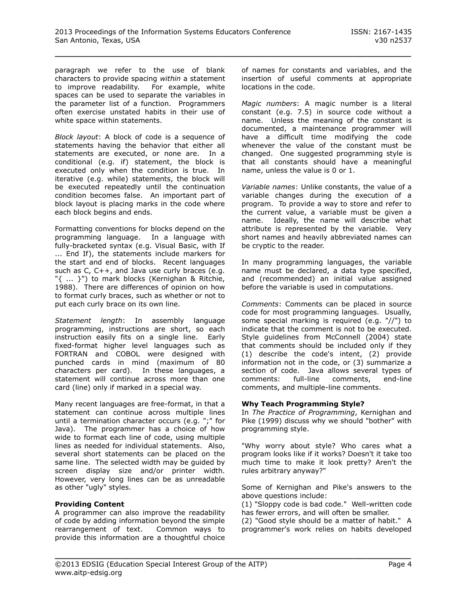paragraph we refer to the use of blank characters to provide spacing *within* a statement to improve readability. For example, white spaces can be used to separate the variables in the parameter list of a function. Programmers often exercise unstated habits in their use of white space within statements.

*Block layout*: A block of code is a sequence of statements having the behavior that either all statements are executed, or none are. In a conditional (e.g. if) statement, the block is executed only when the condition is true. In iterative (e.g. while) statements, the block will be executed repeatedly until the continuation condition becomes false. An important part of block layout is placing marks in the code where each block begins and ends.

Formatting conventions for blocks depend on the programming language. In a language with fully-bracketed syntax (e.g. Visual Basic, with If ... End If), the statements include markers for the start and end of blocks. Recent languages such as C, C++, and Java use curly braces (e.g. "{ ... }") to mark blocks (Kernighan & Ritchie, 1988). There are differences of opinion on how to format curly braces, such as whether or not to put each curly brace on its own line.

*Statement length*: In assembly language programming, instructions are short, so each instruction easily fits on a single line. Early fixed-format higher level languages such as FORTRAN and COBOL were designed with punched cards in mind (maximum of 80 characters per card). In these languages, a statement will continue across more than one card (line) only if marked in a special way.

Many recent languages are free-format, in that a statement can continue across multiple lines until a termination character occurs (e.g. ";" for Java). The programmer has a choice of how wide to format each line of code, using multiple lines as needed for individual statements. Also, several short statements can be placed on the same line. The selected width may be guided by screen display size and/or printer width. However, very long lines can be as unreadable as other "ugly" styles.

## **Providing Content**

A programmer can also improve the readability of code by adding information beyond the simple rearrangement of text. Common ways to provide this information are a thoughtful choice of names for constants and variables, and the insertion of useful comments at appropriate locations in the code.

*Magic numbers*: A magic number is a literal constant (e.g. 7.5) in source code without a name. Unless the meaning of the constant is documented, a maintenance programmer will have a difficult time modifying the code whenever the value of the constant must be changed. One suggested programming style is that all constants should have a meaningful name, unless the value is 0 or 1.

*Variable names*: Unlike constants, the value of a variable changes during the execution of a program. To provide a way to store and refer to the current value, a variable must be given a name. Ideally, the name will describe what attribute is represented by the variable. Very short names and heavily abbreviated names can be cryptic to the reader.

In many programming languages, the variable name must be declared, a data type specified, and (recommended) an initial value assigned before the variable is used in computations.

*Comments*: Comments can be placed in source code for most programming languages. Usually, some special marking is required (e.g. "//") to indicate that the comment is not to be executed. Style guidelines from McConnell (2004) state that comments should be included only if they (1) describe the code's intent, (2) provide information not in the code, or (3) summarize a section of code. Java allows several types of comments: full-line comments, end-line comments, and multiple-line comments.

## **Why Teach Programming Style?**

In *The Practice of Programming*, Kernighan and Pike (1999) discuss why we should "bother" with programming style.

"Why worry about style? Who cares what a program looks like if it works? Doesn't it take too much time to make it look pretty? Aren't the rules arbitrary anyway?"

Some of Kernighan and Pike's answers to the above questions include:

(1) "Sloppy code is bad code." Well-written code has fewer errors, and will often be smaller.

(2) "Good style should be a matter of habit." A programmer's work relies on habits developed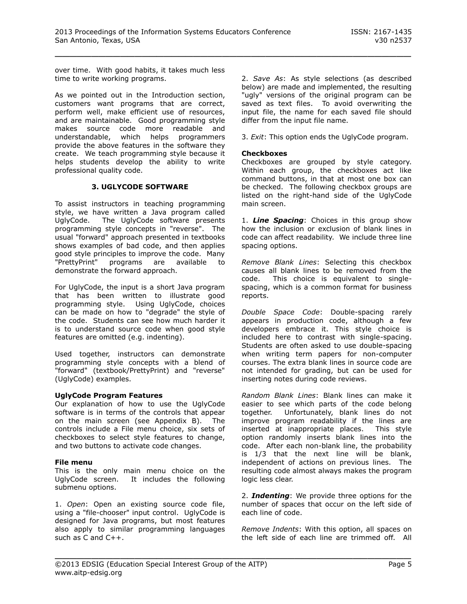over time. With good habits, it takes much less time to write working programs.

As we pointed out in the Introduction section, customers want programs that are correct, perform well, make efficient use of resources, and are maintainable. Good programming style makes source code more readable and understandable, which helps programmers provide the above features in the software they create. We teach programming style because it helps students develop the ability to write professional quality code.

## **3. UGLYCODE SOFTWARE**

To assist instructors in teaching programming style, we have written a Java program called UglyCode. The UglyCode software presents programming style concepts in "reverse". The usual "forward" approach presented in textbooks shows examples of bad code, and then applies good style principles to improve the code. Many<br>"PrettyPrint" programs are available to programs are available to demonstrate the forward approach.

For UglyCode, the input is a short Java program that has been written to illustrate good programming style. Using UglyCode, choices can be made on how to "degrade" the style of the code. Students can see how much harder it is to understand source code when good style features are omitted (e.g. indenting).

Used together, instructors can demonstrate programming style concepts with a blend of "forward" (textbook/PrettyPrint) and "reverse" (UglyCode) examples.

## **UglyCode Program Features**

Our explanation of how to use the UglyCode software is in terms of the controls that appear on the main screen (see Appendix B). The controls include a File menu choice, six sets of checkboxes to select style features to change, and two buttons to activate code changes.

## **File menu**

This is the only main menu choice on the UglyCode screen. It includes the following submenu options.

1. *Open*: Open an existing source code file, using a "file-chooser" input control. UglyCode is designed for Java programs, but most features also apply to similar programming languages such as C and C++.

2. *Save As*: As style selections (as described below) are made and implemented, the resulting "ugly" versions of the original program can be saved as text files. To avoid overwriting the input file, the name for each saved file should differ from the input file name.

3. *Exit*: This option ends the UglyCode program.

## **Checkboxes**

\_\_\_\_\_\_\_\_\_\_\_\_\_\_\_\_\_\_\_\_\_\_\_\_\_\_\_\_\_\_\_\_\_\_\_\_\_\_\_\_\_\_\_\_\_\_\_\_\_

Checkboxes are grouped by style category. Within each group, the checkboxes act like command buttons, in that at most one box can be checked. The following checkbox groups are listed on the right-hand side of the UglyCode main screen.

1. *Line Spacing*: Choices in this group show how the inclusion or exclusion of blank lines in code can affect readability. We include three line spacing options.

*Remove Blank Lines*: Selecting this checkbox causes all blank lines to be removed from the code. This choice is equivalent to singlespacing, which is a common format for business reports.

*Double Space Code*: Double-spacing rarely appears in production code, although a few developers embrace it. This style choice is included here to contrast with single-spacing. Students are often asked to use double-spacing when writing term papers for non-computer courses. The extra blank lines in source code are not intended for grading, but can be used for inserting notes during code reviews.

*Random Blank Lines*: Blank lines can make it easier to see which parts of the code belong together. Unfortunately, blank lines do not improve program readability if the lines are inserted at inappropriate places. This style option randomly inserts blank lines into the code. After each non-blank line, the probability is 1/3 that the next line will be blank, independent of actions on previous lines. The resulting code almost always makes the program logic less clear.

2. *Indenting*: We provide three options for the number of spaces that occur on the left side of each line of code.

*Remove Indents*: With this option, all spaces on the left side of each line are trimmed off. All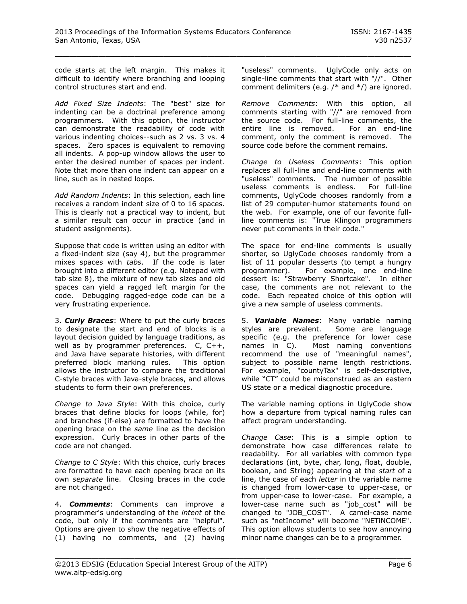code starts at the left margin. This makes it difficult to identify where branching and looping control structures start and end.

*Add Fixed Size Indents*: The "best" size for indenting can be a doctrinal preference among programmers. With this option, the instructor can demonstrate the readability of code with various indenting choices--such as 2 vs. 3 vs. 4 spaces. Zero spaces is equivalent to removing all indents. A pop-up window allows the user to enter the desired number of spaces per indent. Note that more than one indent can appear on a line, such as in nested loops.

*Add Random Indents*: In this selection, each line receives a random indent size of 0 to 16 spaces. This is clearly not a practical way to indent, but a similar result can occur in practice (and in student assignments).

Suppose that code is written using an editor with a fixed-indent size (say 4), but the programmer mixes spaces with *tabs*. If the code is later brought into a different editor (e.g. Notepad with tab size 8), the mixture of new tab sizes and old spaces can yield a ragged left margin for the code. Debugging ragged-edge code can be a very frustrating experience.

3. *Curly Braces*: Where to put the curly braces to designate the start and end of blocks is a layout decision guided by language traditions, as well as by programmer preferences. C, C++, and Java have separate histories, with different preferred block marking rules. This option allows the instructor to compare the traditional C-style braces with Java-style braces, and allows students to form their own preferences.

*Change to Java Style*: With this choice, curly braces that define blocks for loops (while, for) and branches (if-else) are formatted to have the opening brace on the *same* line as the decision expression. Curly braces in other parts of the code are not changed.

*Change to C Style*: With this choice, curly braces are formatted to have each opening brace on its own *separate* line. Closing braces in the code are not changed.

4. *Comments*: Comments can improve a programmer's understanding of the *intent* of the code, but only if the comments are "helpful". Options are given to show the negative effects of (1) having no comments, and (2) having

"useless" comments. UglyCode only acts on single-line comments that start with "//". Other comment delimiters (e.g. /\* and \*/) are ignored.

*Remove Comments*: With this option, all comments starting with "//" are removed from the source code. For full-line comments, the entire line is removed. For an end-line comment, only the comment is removed. The source code before the comment remains.

*Change to Useless Comments*: This option replaces all full-line and end-line comments with "useless" comments. The number of possible useless comments is endless. For full-line comments, UglyCode chooses randomly from a list of 29 computer-humor statements found on the web. For example, one of our favorite fullline comments is: "True Klingon programmers never put comments in their code."

The space for end-line comments is usually shorter, so UglyCode chooses randomly from a list of 11 popular desserts (to tempt a hungry programmer). For example, one end-line dessert is: "Strawberry Shortcake". In either case, the comments are not relevant to the code. Each repeated choice of this option will give a new sample of useless comments.

5. *Variable Names*: Many variable naming styles are prevalent. Some are language specific (e.g. the preference for lower case names in C). Most naming conventions recommend the use of "meaningful names", subject to possible name length restrictions. For example, "countyTax" is self-descriptive, while "CT" could be misconstrued as an eastern US state or a medical diagnostic procedure.

The variable naming options in UglyCode show how a departure from typical naming rules can affect program understanding.

*Change Case*: This is a simple option to demonstrate how case differences relate to readability. For all variables with common type declarations (int, byte, char, long, float, double, boolean, and String) appearing at the *start* of a line, the case of each *letter* in the variable name is changed from lower-case to upper-case, or from upper-case to lower-case. For example, a lower-case name such as "job\_cost" will be changed to "JOB\_COST". A camel-case name such as "netIncome" will become "NETiNCOME". This option allows students to see how annoying minor name changes can be to a programmer.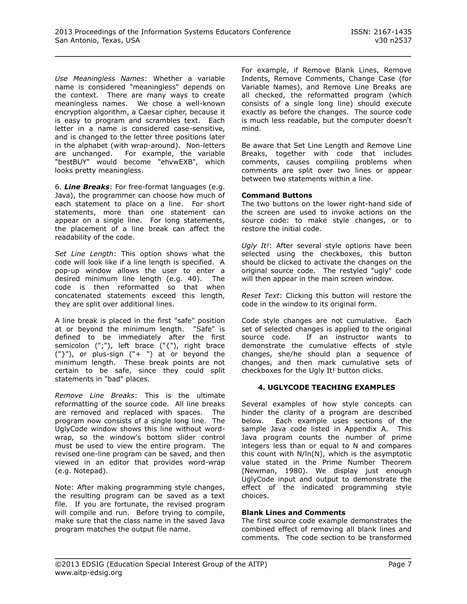*Use Meaningless Names*: Whether a variable name is considered "meaningless" depends on the context. There are many ways to create meaningless names. We chose a well-known encryption algorithm, a Caesar cipher, because it is easy to program and scrambles text. Each letter in a name is considered case-sensitive, and is changed to the letter three positions later in the alphabet (with wrap-around). Non-letters are unchanged. For example, the variable "bestBUY" would become "ehvwEXB", which looks pretty meaningless.

6. *Line Breaks*: For free-format languages (e.g. Java), the programmer can choose how much of each statement to place on a line. For short statements, more than one statement can appear on a single line. For long statements, the placement of a line break can affect the readability of the code.

*Set Line Length*: This option shows what the code will look like if a line length is specified. A pop-up window allows the user to enter a desired minimum line length (e.g. 40). The code is then reformatted so that when concatenated statements exceed this length, they are split over additional lines.

A line break is placed in the first "safe" position at or beyond the minimum length. "Safe" is defined to be immediately after the first semicolon (";"), left brace ("{"), right brace ("}"), or plus-sign ("+ ") at or beyond the minimum length. These break points are not certain to be safe, since they could split statements in "bad" places.

*Remove Line Breaks*: This is the ultimate reformatting of the source code. All line breaks are removed and replaced with spaces. The program now consists of a single long line. The UglyCode window shows this line without wordwrap, so the window's bottom slider control must be used to view the entire program. The revised one-line program can be saved, and then viewed in an editor that provides word-wrap (e.g. Notepad).

Note: After making programming style changes, the resulting program can be saved as a text file. If you are fortunate, the revised program will compile and run. Before trying to compile, make sure that the class name in the saved Java program matches the output file name.

For example, if Remove Blank Lines, Remove Indents, Remove Comments, Change Case (for Variable Names), and Remove Line Breaks are all checked, the reformatted program (which consists of a single long line) should execute exactly as before the changes. The source code is much less readable, but the computer doesn't mind.

Be aware that Set Line Length and Remove Line Breaks, together with code that includes comments, causes compiling problems when comments are split over two lines or appear between two statements within a line.

## **Command Buttons**

The two buttons on the lower right-hand side of the screen are used to invoke actions on the source code: to make style changes, or to restore the initial code.

*Ugly It!*: After several style options have been selected using the checkboxes, this button should be clicked to activate the changes on the original source code. The restyled "ugly" code will then appear in the main screen window.

*Reset Text*: Clicking this button will restore the code in the window to its original form.

Code style changes are not cumulative. Each set of selected changes is applied to the original source code. If an instructor wants to demonstrate the cumulative effects of style changes, she/he should plan a sequence of changes, and then mark cumulative sets of checkboxes for the Ugly It! button clicks.

## **4. UGLYCODE TEACHING EXAMPLES**

Several examples of how style concepts can hinder the clarity of a program are described below. Each example uses sections of the sample Java code listed in Appendix A. This Java program counts the number of prime integers less than or equal to N and compares this count with N/ln(N), which is the asymptotic value stated in the Prime Number Theorem (Newman, 1980). We display just enough UglyCode input and output to demonstrate the effect of the indicated programming style choices.

## **Blank Lines and Comments**

\_\_\_\_\_\_\_\_\_\_\_\_\_\_\_\_\_\_\_\_\_\_\_\_\_\_\_\_\_\_\_\_\_\_\_\_\_\_\_\_\_\_\_\_\_\_\_\_\_

The first source code example demonstrates the combined effect of removing all blank lines and comments. The code section to be transformed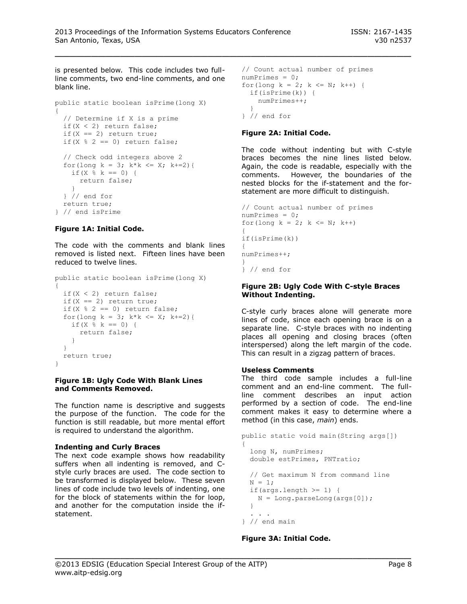is presented below. This code includes two fullline comments, two end-line comments, and one blank line.

```
public static boolean isPrime(long X)
{
   // Determine if X is a prime
   if(X < 2) return false;
  if(X == 2) return true;
  if(X % 2 == 0) return false;
   // Check odd integers above 2
  for(long k = 3; k*k \leq X; k += 2){
   if (X \& k == 0) {
      return false;
 }
   } // end for
  return true;
} // end isPrime
```
## **Figure 1A: Initial Code.**

The code with the comments and blank lines removed is listed next. Fifteen lines have been reduced to twelve lines.

```
public static boolean isPrime(long X)
{
   if(X < 2) return false;
 if(X == 2) return true;
  if(X % 2 == 0) return false;
  for(long k = 3; k*k \leq X; k+=2){
   if (X \; | \; k == 0) {
      return false;
    }
  }
   return true;
}
```
#### **Figure 1B: Ugly Code With Blank Lines and Comments Removed.**

The function name is descriptive and suggests the purpose of the function. The code for the function is still readable, but more mental effort is required to understand the algorithm.

## **Indenting and Curly Braces**

The next code example shows how readability suffers when all indenting is removed, and Cstyle curly braces are used. The code section to be transformed is displayed below. These seven lines of code include two levels of indenting, one for the block of statements within the for loop, and another for the computation inside the ifstatement.

```
// Count actual number of primes
numPrimes = 0;
for(long k = 2; k \le N; k++) {
 if(isPrime(k)) {
    numPrimes++;
 }
} // end for
```
## **Figure 2A: Initial Code.**

The code without indenting but with C-style braces becomes the nine lines listed below. Again, the code is readable, especially with the comments. However, the boundaries of the nested blocks for the if-statement and the forstatement are more difficult to distinguish.

```
// Count actual number of primes
numPrimes = 0;
for(long k = 2; k \le N; k++)
{
if(isPrime(k))
{
numPrimes++;
}
} // end for
```
## **Figure 2B: Ugly Code With C-style Braces Without Indenting.**

C-style curly braces alone will generate more lines of code, since each opening brace is on a separate line. C-style braces with no indenting places all opening and closing braces (often interspersed) along the left margin of the code. This can result in a zigzag pattern of braces.

## **Useless Comments**

The third code sample includes a full-line comment and an end-line comment. The fullline comment describes an input action performed by a section of code. The end-line comment makes it easy to determine where a method (in this case, *main*) ends.

```
public static void main(String args[])
{
   long N, numPrimes;
   double estPrimes, PNTratio;
   // Get maximum N from command line
 N = 1;if(args.length >= 1) {
  N = Long.parseLong(args[0]);
  }
 . . .
```

```
} // end main
```
\_\_\_\_\_\_\_\_\_\_\_\_\_\_\_\_\_\_\_\_\_\_\_\_\_\_\_\_\_\_\_\_\_\_\_\_\_\_\_\_\_\_\_\_\_\_\_\_\_

## **Figure 3A: Initial Code.**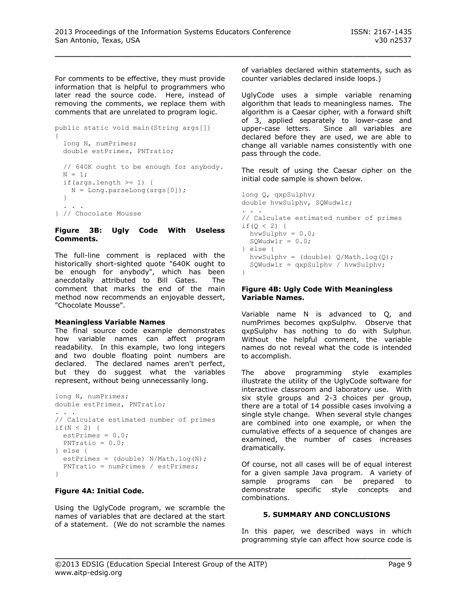For comments to be effective, they must provide information that is helpful to programmers who later read the source code. Here, instead of removing the comments, we replace them with comments that are unrelated to program logic.

```
public static void main(String args[])
{
  long N, numPrimes;
  double estPrimes, PNTratio;
  // 640K ought to be enough for anybody.
 N = 1;if(args.length >= 1) {
   N = Long.parseLong(args[0]);
   }
 . . .
} // Chocolate Mousse
```
## **Figure 3B: Ugly Code With Useless Comments.**

The full-line comment is replaced with the historically short-sighted quote "640K ought to be enough for anybody", which has been anecdotally attributed to Bill Gates. The comment that marks the end of the main method now recommends an enjoyable dessert, "Chocolate Mousse".

## **Meaningless Variable Names**

The final source code example demonstrates how variable names can affect program readability. In this example, two long integers and two double floating point numbers are declared. The declared names aren't perfect, but they do suggest what the variables represent, without being unnecessarily long.

```
long N, numPrimes;
double estPrimes, PNTratio;
. . .
// Calculate estimated number of primes
if (N < 2) {
 estPrimes = 0.0;
   PNTratio = 0.0;
} else {
  estPrimes = (double) N/Math.log(N); PNTratio = numPrimes / estPrimes;
}
```
## **Figure 4A: Initial Code.**

Using the UglyCode program, we scramble the names of variables that are declared at the start of a statement. (We do not scramble the names of variables declared within statements, such as counter variables declared inside loops.)

UglyCode uses a simple variable renaming algorithm that leads to meaningless names. The algorithm is a Caesar cipher, with a forward shift of 3, applied separately to lower-case and upper-case letters. Since all variables are declared before they are used, we are able to change all variable names consistently with one pass through the code.

The result of using the Caesar cipher on the initial code sample is shown below.

```
long Q, qxpSulphv;
double hvwSulphv, SQWudwlr;
. . .
// Calculate estimated number of primes
if (0 < 2) {
  hvwSulphv = 0.0;
 SQWudw1r = 0.0;} else {
 hvwSulphv = (double) Q/Math.log(Q);SQWudw1r = qxpSulphv / hvwSulphv;}
```
#### **Figure 4B: Ugly Code With Meaningless Variable Names.**

Variable name N is advanced to Q, and numPrimes becomes qxpSulphv. Observe that qxpSulphv has nothing to do with Sulphur. Without the helpful comment, the variable names do not reveal what the code is intended to accomplish.

The above programming style examples illustrate the utility of the UglyCode software for interactive classroom and laboratory use. With six style groups and 2-3 choices per group, there are a total of 14 possible cases involving a single style change. When several style changes are combined into one example, or when the cumulative effects of a sequence of changes are examined, the number of cases increases dramatically.

Of course, not all cases will be of equal interest for a given sample Java program. A variety of sample programs can be prepared to demonstrate specific style concepts and combinations.

## **5. SUMMARY AND CONCLUSIONS**

In this paper, we described ways in which programming style can affect how source code is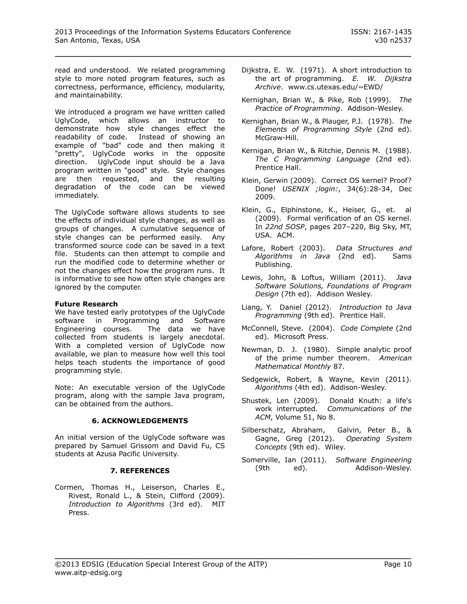read and understood. We related programming style to more noted program features, such as correctness, performance, efficiency, modularity, and maintainability.

We introduced a program we have written called UglyCode, which allows an instructor to demonstrate how style changes effect the readability of code. Instead of showing an example of "bad" code and then making it "pretty", UglyCode works in the opposite direction. UglyCode input should be a Java program written in "good" style. Style changes are then requested, and the resulting degradation of the code can be viewed immediately.

The UglyCode software allows students to see the effects of individual style changes, as well as groups of changes. A cumulative sequence of style changes can be performed easily. Any transformed source code can be saved in a text file. Students can then attempt to compile and run the modified code to determine whether or not the changes effect how the program runs. It is informative to see how often style changes are ignored by the computer.

## **Future Research**

We have tested early prototypes of the UglyCode software in Programming and Software Engineering courses. The data we have collected from students is largely anecdotal. With a completed version of UglyCode now available, we plan to measure how well this tool helps teach students the importance of good programming style.

Note: An executable version of the UglyCode program, along with the sample Java program, can be obtained from the authors.

## **6. ACKNOWLEDGEMENTS**

An initial version of the UglyCode software was prepared by Samuel Grissom and David Fu, CS students at Azusa Pacific University.

## **7. REFERENCES**

Cormen, Thomas H., Leiserson, Charles E., Rivest, Ronald L., & Stein, Clifford (2009). *Introduction to Algorithms* (3rd ed). MIT Press.

- Dijkstra, E. W. (1971). A short introduction to the art of programming. *E. W. Dijkstra Archive*. www.cs.utexas.edu/~EWD/
- Kernighan, Brian W., & Pike, Rob (1999). *The Practice of Programming*. Addison-Wesley.
- Kernighan, Brian W., & Plauger, P.J. (1978). *The Elements of Programming Style* (2nd ed). McGraw-Hill.
- Kernigan, Brian W., & Ritchie, Dennis M. (1988). *The C Programming Language* (2nd ed). Prentice Hall.
- Klein, Gerwin (2009). Correct OS kernel? Proof? Done! *USENIX ;login:*, 34(6):28-34, Dec 2009.
- Klein, G., Elphinstone, K., Heiser, G., et. al (2009). Formal verification of an OS kernel. In *22nd SOSP*, pages 207–220, Big Sky, MT, USA. ACM.
- Lafore, Robert (2003). *Data Structures and Algorithms in Java* (2nd ed). Sams Publishing.
- Lewis, John, & Loftus, William (2011). *Java Software Solutions, Foundations of Program Design* (7th ed). Addison Wesley.
- Liang, Y. Daniel (2012). *Introduction to Java Programming* (9th ed). Prentice Hall.
- McConnell, Steve. (2004). *Code Complete* (2nd ed). Microsoft Press.
- Newman, D. J. (1980). Simple analytic proof of the prime number theorem. *American Mathematical Monthly* 87.
- Sedgewick, Robert, & Wayne, Kevin (2011). *Algorithms* (4th ed). Addison-Wesley.
- Shustek, Len (2009). Donald Knuth: a life's work interrupted. *Communications of the ACM*, Volume 51, No 8.
- Silberschatz, Abraham, Galvin, Peter B., & Gagne, Greg (2012). *Operating System Concepts* (9th ed). Wiley.
- Somerville, Ian (2011). *Software Engineering* (9th ed). Addison-Wesley.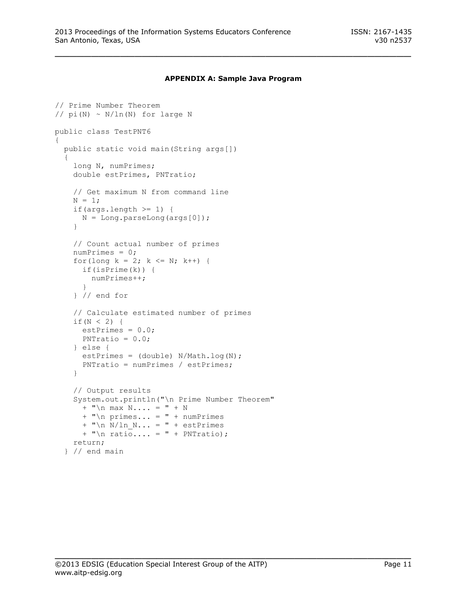#### **APPENDIX A: Sample Java Program**

\_\_\_\_\_\_\_\_\_\_\_\_\_\_\_\_\_\_\_\_\_\_\_\_\_\_\_\_\_\_\_\_\_\_\_\_\_\_\_\_\_\_\_\_\_\_\_\_\_

```
// Prime Number Theorem
// pi(N) \sim N/ln(N) for large N
public class TestPNT6
{
   public static void main(String args[])
   {
    long N, numPrimes;
     double estPrimes, PNTratio;
     // Get maximum N from command line
    N = 1;if(args.length >= 1) {
     N = Long.parseLong(args[0]);
     }
     // Count actual number of primes
     numPrimes = 0;
    for(long k = 2; k \le N; k++) {
       if(isPrime(k)) {
         numPrimes++;
       }
     } // end for
     // Calculate estimated number of primes
    if (N < 2) {
      estPrimes = 0.0;PNTratio = 0.0;
     } else {
     estPrimes = (double) N/Math.log(N); PNTratio = numPrimes / estPrimes;
     }
     // Output results
     System.out.println("\n Prime Number Theorem"
     + "\n\times max N.... = " + N
      + "\n\times primes... = " + numPrimes
      + "\n N/ln N... = " + estPrimes
      + "\n ratio.... = " + PNTratio);
     return;
   } // end main
```